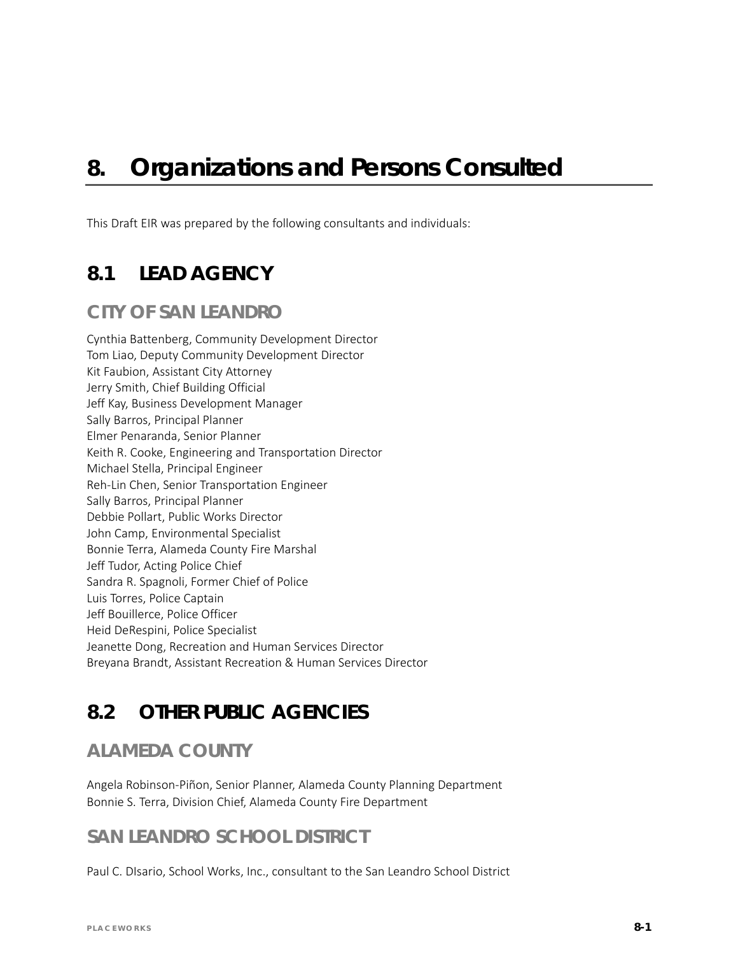# *8. Organizations and Persons Consulted*

This Draft EIR was prepared by the following consultants and individuals:

## **8.1 LEAD AGENCY**

#### **CITY OF SAN LEANDRO**

Cynthia Battenberg, Community Development Director Tom Liao, Deputy Community Development Director Kit Faubion, Assistant City Attorney Jerry Smith, Chief Building Official Jeff Kay, Business Development Manager Sally Barros, Principal Planner Elmer Penaranda, Senior Planner Keith R. Cooke, Engineering and Transportation Director Michael Stella, Principal Engineer Reh-Lin Chen, Senior Transportation Engineer Sally Barros, Principal Planner Debbie Pollart, Public Works Director John Camp, Environmental Specialist Bonnie Terra, Alameda County Fire Marshal Jeff Tudor, Acting Police Chief Sandra R. Spagnoli, Former Chief of Police Luis Torres, Police Captain Jeff Bouillerce, Police Officer Heid DeRespini, Police Specialist Jeanette Dong, Recreation and Human Services Director Breyana Brandt, Assistant Recreation & Human Services Director

## **8.2 OTHER PUBLIC AGENCIES**

### **ALAMEDA COUNTY**

Angela Robinson-Piñon, Senior Planner, Alameda County Planning Department Bonnie S. Terra, Division Chief, Alameda County Fire Department

#### **SAN LEANDRO SCHOOL DISTRICT**

Paul C. DIsario, School Works, Inc., consultant to the San Leandro School District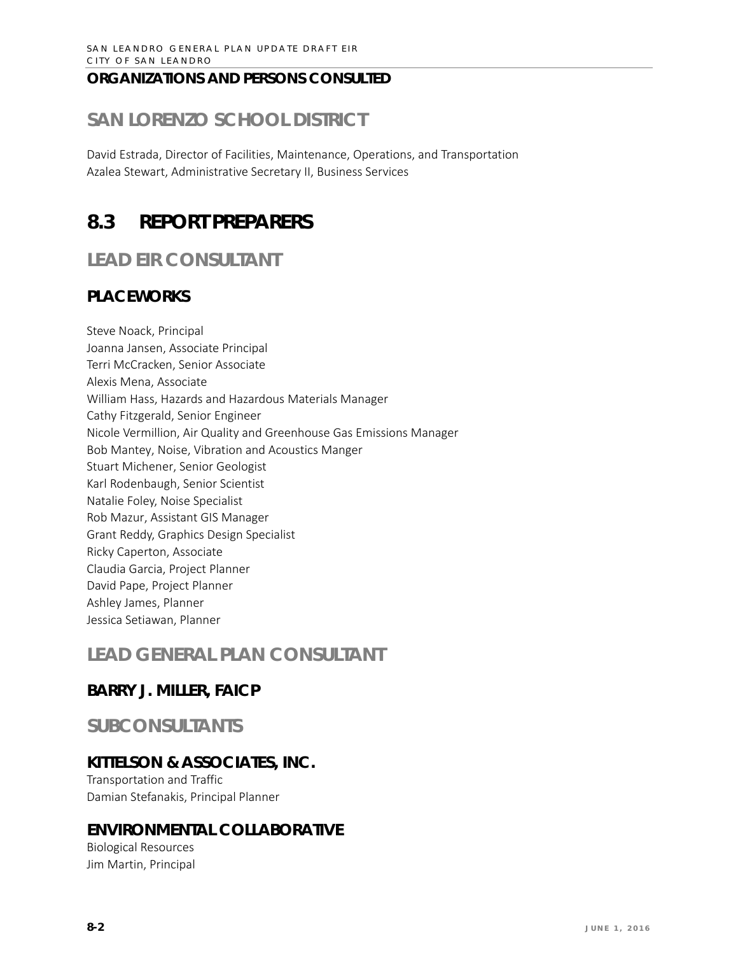#### **ORGANIZATIONS AND PERSONS CONSULTED**

# **SAN LORENZO SCHOOL DISTRICT**

David Estrada, Director of Facilities, Maintenance, Operations, and Transportation Azalea Stewart, Administrative Secretary II, Business Services

# **8.3 REPORT PREPARERS**

**LEAD EIR CONSULTANT**

#### **PLACEWORKS**

Steve Noack, Principal Joanna Jansen, Associate Principal Terri McCracken, Senior Associate Alexis Mena, Associate William Hass, Hazards and Hazardous Materials Manager Cathy Fitzgerald, Senior Engineer Nicole Vermillion, Air Quality and Greenhouse Gas Emissions Manager Bob Mantey, Noise, Vibration and Acoustics Manger Stuart Michener, Senior Geologist Karl Rodenbaugh, Senior Scientist Natalie Foley, Noise Specialist Rob Mazur, Assistant GIS Manager Grant Reddy, Graphics Design Specialist Ricky Caperton, Associate Claudia Garcia, Project Planner David Pape, Project Planner Ashley James, Planner Jessica Setiawan, Planner

### **LEAD GENERAL PLAN CONSULTANT**

#### **BARRY J. MILLER, FAICP**

### **SUBCONSULTANTS**

#### **KITTELSON & ASSOCIATES, INC.**

Transportation and Traffic Damian Stefanakis, Principal Planner

#### **ENVIRONMENTAL COLLABORATIVE**

Biological Resources Jim Martin, Principal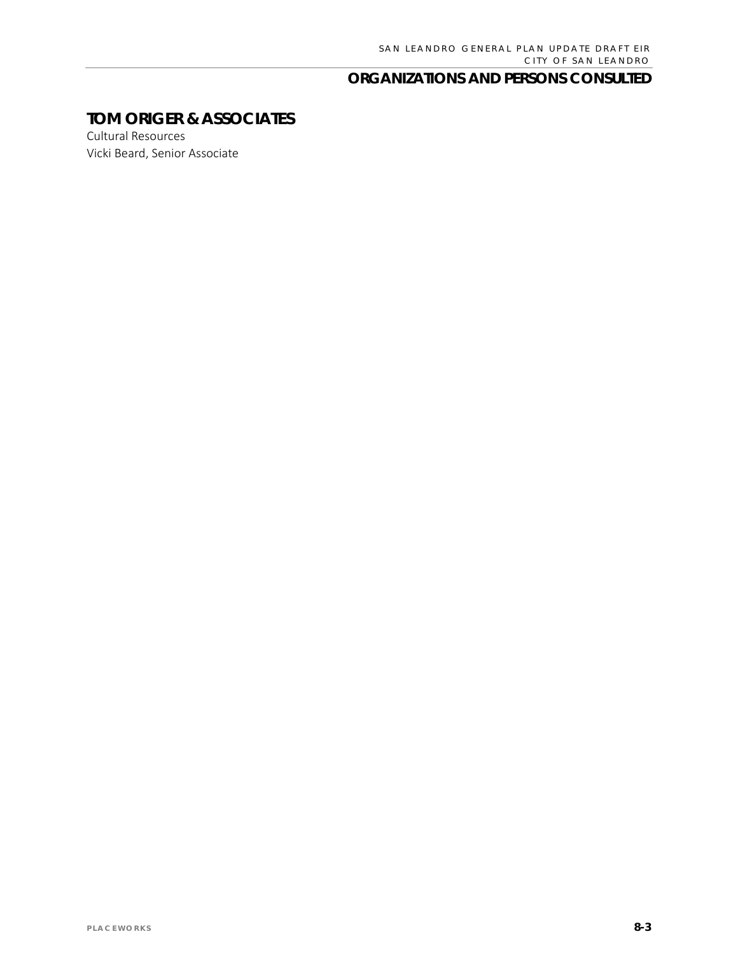#### **ORGANIZATIONS AND PERSONS CONSULTED**

### **TOM ORIGER & ASSOCIATES**

Cultural Resources Vicki Beard, Senior Associate